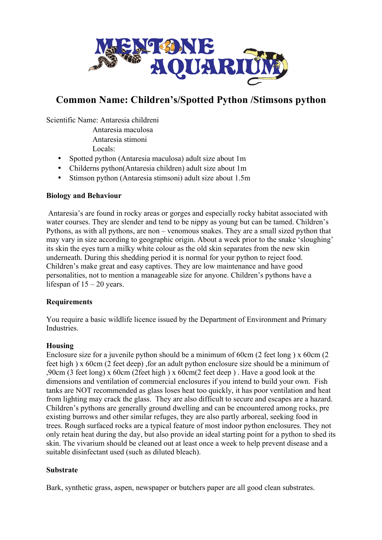

# **Common Name: Children's/Spotted Python /Stimsons python**

Scientific Name: Antaresia childreni

Antaresia maculosa

Antaresia stimoni

Locals:

- Spotted python (Antaresia maculosa) adult size about 1m
- Childerns python(Antaresia children) adult size about 1m
- Stimson python (Antaresia stimsoni) adult size about 1.5m

### **Biology and Behaviour**

Antaresia's are found in rocky areas or gorges and especially rocky habitat associated with water courses. They are slender and tend to be nippy as young but can be tamed. Children's Pythons, as with all pythons, are non – venomous snakes. They are a small sized python that may vary in size according to geographic origin. About a week prior to the snake 'sloughing' its skin the eyes turn a milky white colour as the old skin separates from the new skin underneath. During this shedding period it is normal for your python to reject food. Children's make great and easy captives. They are low maintenance and have good personalities, not to mention a manageable size for anyone. Children's pythons have a lifespan of  $15 - 20$  years.

### **Requirements**

You require a basic wildlife licence issued by the Department of Environment and Primary **Industries** 

### **Housing**

Enclosure size for a juvenile python should be a minimum of 60cm (2 feet long)  $\times$  60cm (2 feet high ) x 60cm (2 feet deep) ,for an adult python enclosure size should be a minimum of ,90cm (3 feet long) x 60cm (2feet high ) x 60cm(2 feet deep ) . Have a good look at the dimensions and ventilation of commercial enclosures if you intend to build your own. Fish tanks are NOT recommended as glass loses heat too quickly, it has poor ventilation and heat from lighting may crack the glass. They are also difficult to secure and escapes are a hazard. Children's pythons are generally ground dwelling and can be encountered among rocks, pre existing burrows and other similar refuges, they are also partly arboreal, seeking food in trees. Rough surfaced rocks are a typical feature of most indoor python enclosures. They not only retain heat during the day, but also provide an ideal starting point for a python to shed its skin. The vivarium should be cleaned out at least once a week to help prevent disease and a suitable disinfectant used (such as diluted bleach).

### **Substrate**

Bark, synthetic grass, aspen, newspaper or butchers paper are all good clean substrates.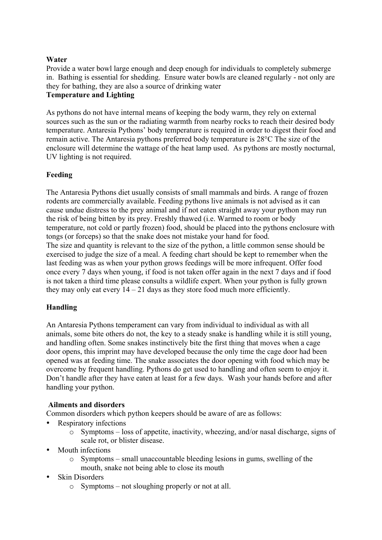### **Water**

Provide a water bowl large enough and deep enough for individuals to completely submerge in. Bathing is essential for shedding. Ensure water bowls are cleaned regularly - not only are they for bathing, they are also a source of drinking water

## **Temperature and Lighting**

As pythons do not have internal means of keeping the body warm, they rely on external sources such as the sun or the radiating warmth from nearby rocks to reach their desired body temperature. Antaresia Pythons' body temperature is required in order to digest their food and remain active. The Antaresia pythons preferred body temperature is 28°C The size of the enclosure will determine the wattage of the heat lamp used. As pythons are mostly nocturnal, UV lighting is not required.

### **Feeding**

The Antaresia Pythons diet usually consists of small mammals and birds. A range of frozen rodents are commercially available. Feeding pythons live animals is not advised as it can cause undue distress to the prey animal and if not eaten straight away your python may run the risk of being bitten by its prey. Freshly thawed (i.e. Warmed to room or body temperature, not cold or partly frozen) food, should be placed into the pythons enclosure with tongs (or forceps) so that the snake does not mistake your hand for food. The size and quantity is relevant to the size of the python, a little common sense should be exercised to judge the size of a meal. A feeding chart should be kept to remember when the last feeding was as when your python grows feedings will be more infrequent. Offer food once every 7 days when young, if food is not taken offer again in the next 7 days and if food is not taken a third time please consults a wildlife expert. When your python is fully grown they may only eat every  $14 - 21$  days as they store food much more efficiently.

### **Handling**

An Antaresia Pythons temperament can vary from individual to individual as with all animals, some bite others do not, the key to a steady snake is handling while it is still young, and handling often. Some snakes instinctively bite the first thing that moves when a cage door opens, this imprint may have developed because the only time the cage door had been opened was at feeding time. The snake associates the door opening with food which may be overcome by frequent handling. Pythons do get used to handling and often seem to enjoy it. Don't handle after they have eaten at least for a few days. Wash your hands before and after handling your python.

### **Ailments and disorders**

Common disorders which python keepers should be aware of are as follows:

- Respiratory infections
	- o Symptoms loss of appetite, inactivity, wheezing, and/or nasal discharge, signs of scale rot, or blister disease.
- Mouth infections
	- o Symptoms small unaccountable bleeding lesions in gums, swelling of the mouth, snake not being able to close its mouth
- **Skin Disorders** 
	- o Symptoms not sloughing properly or not at all.